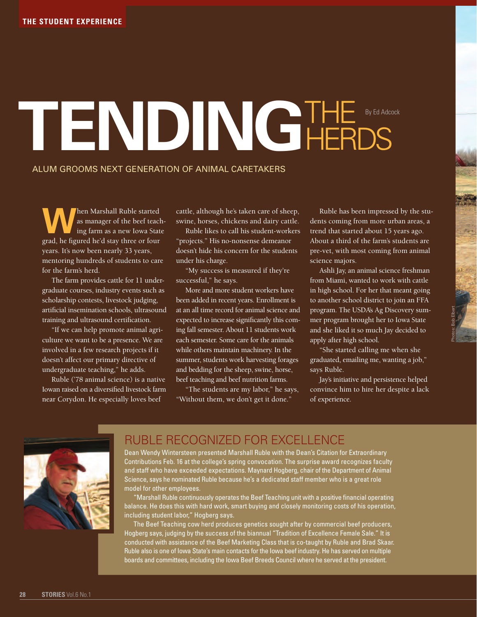## **Tending**the **HERDS** By Ed Adcock

## Alum grooms next generation of animal caretakers

**W**hen Marshall Ruble started<br>
as manager of the beef teach-<br>
ing farm as a new Iowa State as manager of the beef teachgrad, he figured he'd stay three or four years. It's now been nearly 33 years, mentoring hundreds of students to care for the farm's herd.

The farm provides cattle for 11 undergraduate courses, industry events such as scholarship contests, livestock judging, artificial insemination schools, ultrasound training and ultrasound certification.

"If we can help promote animal agriculture we want to be a presence. We are involved in a few research projects if it doesn't affect our primary directive of undergraduate teaching," he adds.

Ruble ('78 animal science) is a native Iowan raised on a diversified livestock farm near Corydon. He especially loves beef

cattle, although he's taken care of sheep, swine, horses, chickens and dairy cattle.

Ruble likes to call his student-workers "projects." His no-nonsense demeanor doesn't hide his concern for the students under his charge.

"My success is measured if they're successful," he says.

More and more student workers have been added in recent years. Enrollment is at an all time record for animal science and expected to increase significantly this coming fall semester. About 11 students work each semester. Some care for the animals while others maintain machinery. In the summer, students work harvesting forages and bedding for the sheep, swine, horse, beef teaching and beef nutrition farms.

"The students are my labor," he says, "Without them, we don't get it done."

Ruble has been impressed by the students coming from more urban areas, a trend that started about 15 years ago. About a third of the farm's students are pre-vet, with most coming from animal science majors.

Ashli Jay, an animal science freshman from Miami, wanted to work with cattle in high school. For her that meant going to another school district to join an FFA program. The USDA's Ag Discovery summer program brought her to Iowa State and she liked it so much Jay decided to apply after high school.

"She started calling me when she graduated, emailing me, wanting a job," says Ruble.

Jay's initiative and persistence helped convince him to hire her despite a lack of experience.



## Ruble Recognized for Excellence

Dean Wendy Wintersteen presented Marshall Ruble with the Dean's Citation for Extraordinary Contributions Feb. 16 at the college's spring convocation. The surprise award recognizes faculty and staff who have exceeded expectations. Maynard Hogberg, chair of the Department of Animal Science, says he nominated Ruble because he's a dedicated staff member who is a great role model for other employees.

"Marshall Ruble continuously operates the Beef Teaching unit with a positive financial operating balance. He does this with hard work, smart buying and closely monitoring costs of his operation, including student labor," Hogberg says.

 The Beef Teaching cow herd produces genetics sought after by commercial beef producers, Hogberg says, judging by the success of the biannual "Tradition of Excellence Female Sale." It is conducted with assistance of the Beef Marketing Class that is co-taught by Ruble and Brad Skaar. Ruble also is one of Iowa State's main contacts for the Iowa beef industry. He has served on multiple boards and committees, including the Iowa Beef Breeds Council where he served at the president.